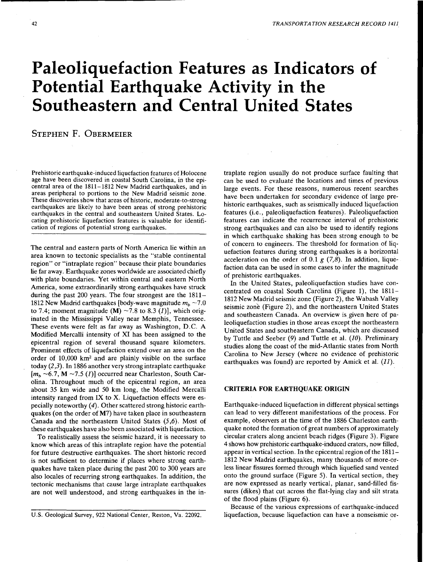# Paleoliquefaction Features as Indicators of Potential Earthquake Activity in the **Southeastern and Central United States**

# STEPHEN F. OBERMEIER

Prehistoric earthquake-induced liquefaction features of Holocene age have been discovered in coastal South Carolina, in the epicentral area of the 1811-1812 New Madrid earthquakes, and in areas peripheral to portions to the New Madrid seismic zone. These discoveries show that areas of historic, moderate-to-strong earthquakes are likely to have been areas of strong prehistoric earthquakes in the central and southeastern United States. Locating prehistoric liquefaction features is valuable for identification of regions of potential strong earthquakes.

The central and eastern parts of North America lie within an area known to tectonic specialists as the "stable continental region" or "intraplate region" because their plate boundaries lie far away. Earthquake zones worldwide are associated chiefly with plate boundaries. Yet within central and eastern North America, some extraordinarily strong earthquakes have struck during the past 200 years. The four strongest are the 1811- 1812 New Madrid earthquakes (body-wave magnitude  $m_b \sim 7.0$ to 7.4; moment magnitude (M)  $\sim$  7.8 to 8.3 (1)], which originated in the Mississippi Valley near Memphis, Tennessee. These events were felt as far away as Washington, D.C. A Modified Mercalli intensity of XI has been assigned to the epicentral region of several thousand square kilometers. Prominent effects of liquefaction extend over an area on the order of 10,000 km2 and are plainly visible on the surface today (2 ,3). In 1886 another very strong intraplate earthquake  $[m_b \sim 6.7, M \sim 7.5 (1)]$  occurred near Charleston, South Carolina. Throughout much of the epicentral region, an area about 35 km wide and 50 km long, the Modified Mercalli intensity ranged from IX to X. Liquefaction effects were especially noteworthy (4). Other scattered strong historic earthquakes (on the order of M7) have taken place in southeastern Canada and the northeastern United States  $(5,6)$ . Most of these earthquakes have also been associated with liquefaction.

To realistically assess the seismic hazard, it is necessary to know which areas of this intraplate region have the potential for future destructive earthquakes. The short historic record is not sufficient to determine if places where strong earthquakes have taken place during the past 200 to 300 years are also locales of recurring strong earthquakes. In addition, the tectonic mechanisms that cause large intraplate earthquakes are not well understood, and strong earthquakes in the intraplate region usually do not produce surface faulting that can be used to evaluate the locations and times of previous large events. For these reasons, numerous recent searches have been undertaken for secondary evidence of large prehistoric earthquakes, such as seismically induced liquefaction features (i.e., paleoliquefaction features). Paleoliquefaction features can indicate the recurrence interval of prehistoric strong earthquakes and can also be used to identify regions in which earthquake shaking has been strong enough to be of concern to engineers. The threshold for formation of liquefaction features during strong earthquakes is a horizontal acceleration on the order of 0.1  $g$  (7,8). In addition, liquefaction data can be used in some cases to infer the magnitude of prehistoric earthquakes.

In the United States, paleoliquefaction studies have concentrated on coastal South Carolina (Figure 1), the 1811- 1812 New Madrid seismic zone (Figure 2), the Wabash Valley seismic zone (Figure 2), and the northeastern United States and southeastern Canada. An overview is given here of paleoliquefaction studies in those areas except the northeastern United States and southeastern Canada, which are discussed by Tuttle and Seeber (9) and Tuttle et al. (10). Preliminary studies along the coast of the mid-Atlantic states from North Carolina to New Jersey (where no evidence of prehistoric earthquakes was found) are reported by Amick et al.  $(11)$ .

# CRITERIA FOR EARTHQUAKE ORIGIN

Earthquake-induced liquefaction in different physical settings can lead to very different manifestations of the process. For example, observers at the time of the 1886 Charleston earthquake noted the formation of great numbers of approximately circular craters along ancient beach ridges (Figure 3). Figure 4 shows how prehistoric earthquake-induced craters, now filled, appear in vertical section. In the epicentral region of the 1811- 1812 New Madrid earthquakes, many thousands of more-orless linear fissures formed through which liquefied sand vented onto the ground surface (Figure 5). In vertical section, they are now expressed as nearly vertical, planar, sand-filled fissures (dikes) that cut across the flat-lying clay and silt strata of the flood plains (Figure 6).

Because of the various expressions of earthquake-induced liquefaction, because liquefaction can have a nonseismic or-

U.S. Geological Survey, 922 National Center, Reston, Va. 22092.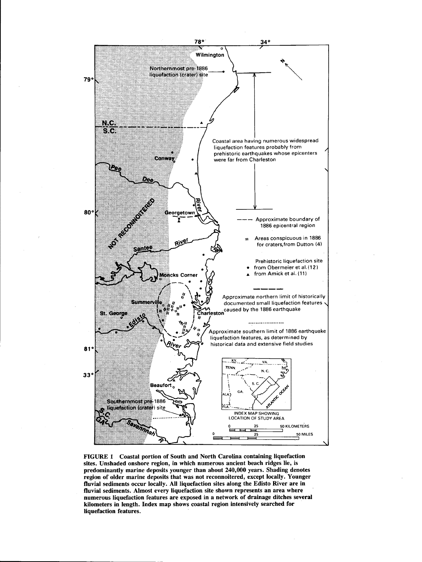

FIGURE 1 Coastal portion of South and North Carolina containing liquefaction sites. Unshaded onshore region, in which numerous ancient beach ridges lie, is predominantly marine deposits younger than about 240,000 years. Shading denotes region of older marine deposits that was not reconnoitered, except locally. Younger fluvial sediments occur locally. All liquefaction sites along the Edisto River are in fluvial sediments. Almost every liquefaction site shown represents an area where numerous liquefaction features are exposed in a network of drainage ditches several kilometers in length. Index map shows coastal region intensively searched for · liquefaction features.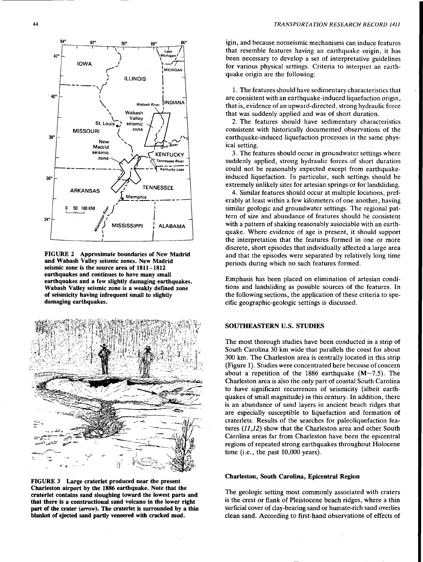

FIGURE 2 Approximate boundaries of New Madrid and Wabash Valley seismic zones. New Madrid seismic zone is the source area of 1811-1812 earthquakes and continues to have many small earthquakes and a few slightly damaging earthquakes. Wabash Valley seismic zone is a weakly defined zone of seismicity having infrequent small to slightly damaging earthquakes.



FIGURE 3 Large craterlet produced near the present Charleston airport by the 1886 earthquake. Note that the craterlet contains sand sloughing toward the lowest parts and that there is a constructional sand volcano in the lower right part of the crater (arrow). The craterlet is surrounded by a thin blanket of ejected sand partly veneered with cracked mud.

igin, and because nonseismic mechanisms can induce features that resemble features having an earthquake origin, it has been necessary to develop a set of interpretative guidelines for various physical settings. Criteria to interpret an earthquake origin are the following:

1. The features should have sedimentary characteristics that are consistent with an earthquake-induced liquefaction origin, that is, evidence of an upward-directed, strong hydraulic force that was suddenly applied and was of short duration.

2. The features should have sedimentary characteristics consistent with historically documented observations of the earthquake-induced liquefaction processes in the same physical setting.

3. The features should occur in groundwater settings where suddenly applied, strong hydraulic forces of short duration could not be reasonably expected except from earthquakeinduced liquefaction. In particular, such settings should be extremely unlikely sites for artesian springs or for landsliding.

4. Similar features should occur at multiple locations, preferably at least within a few kilometers of one another, having similar geologic and groundwater settings. The regional pattern of size and abundance of features should be consistent with a pattern of shaking reasonably associable with an earthquake. Where evidence of age is present, it should support the interpretation that the features formed in one or more discrete, short episodes that individually affected a large area and that the episodes were separated by relatively long time periods during which no such features formed.

Emphasis has been placed on elimination of artesian conditions and landsliding as possible sources of the features. In the following sections, the application of these criteria to specific geographic-geologic settings is discussed.

## SOUTHEASTERN U.S. STUDIES

The most thorough studies have been conducted in a strip of South Carolina 30 km wide that parallels the coast for about 300 km. The Charleston area is centrally located in this strip (Figure 1). Studies were concentrated here because of concern about a repetition of the 1886 earthquake  $(M-7.5)$ . The Charleston area is also the only part of coastal South Carolina to have significant recurrences of seismicity (albeit earthquakes of small magnitude) in this century. In addition, there is an abundance of sand layers in ancient beach ridges that are especially susceptible to liquefaction and formation of craterlets. Results of the searches for paleoliquefaction features *(11,12)* show that the Charleston area and other South Carolina areas far from Charleston have been the epicentral regions of repeated strong earthquakes throughout Holocene time (i.e., the past 10,000 years).

#### Charleston, South Carolina, Epicentral Region

The geologic setting most commonly associated with craters is the crest or flank of Pleistocene beach ridges, where a thin surficial cover of clay-bearing sand or humate-rich sand overlies clean sand. According to first-hand observations of effects of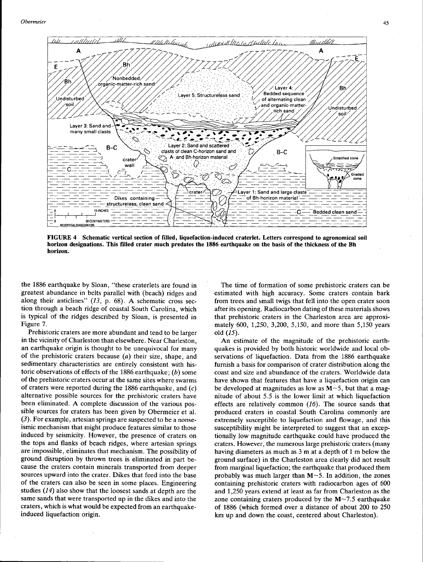

FIGURE 4 Schematic vertical section of filled, liquefaction-induced craterlet. Letters correspond to agronomical soil horizon designations. This filled crater much predates the 1886 earthquake on the basis of the thickness of the Bh horizon.

the 1886 earthquake by Sloan, "these craterlets are found in greatest abundance in belts parallel with (beach) ridges and along their anticlines" (13, p. 68). A schematic cross section through a beach ridge of coastal South Carolina, which is typical of the ridges described by Sloan, is presented in Figure 7.

Prehistoric craters are more abundant and tend to be larger in the vicinity of Charleston than elsewhere. Near Charleston, an earthquake origin is thought to be unequivocal for many of the prehistoric craters because  $(a)$  their size, shape, and sedimentary characteristics are entirely consistent with historic observations of effects of the 1886 earthquake;  $(b)$  some of the prehistoric craters occur at the same sites where swarms of craters were reported during the  $1886$  earthquake, and  $(c)$ alternative possible sources for the prehistoric craters have been eliminated. A complete discussion of the various possible sources for craters has been given by Obermeier et al. (3). For example, artesian springs are suspected to be a nonseismic mechanism that might produce features similar to those induced by seismicity. However, the presence of craters on the tops and flanks of beach ridges, where artesian springs are impossible, eliminates that mechanism. The possibility of ground disruption by thrown trees is eliminated in part because the craters contain minerals transported from deeper sources upward into the crater. Dikes that feed into the base of the craters can also be seen in some places. Engineering studies (14) also show that the loosest sands at depth are the same sands that were transported up in the dikes and into the craters, which is what would be expected from an earthquakeinduced liquefaction origin.

The time of formation of some prehistoric craters can be estimated with high accuracy. Some craters contain bark from trees and small twigs that fell into the open crater soon after its opening. Radiocarbon dating of these materials shows that prehistoric craters in the Charleston area are approximately 600, 1,250, 3,200, 5,150, and more than 5,150 years old (15).

An estimate of the magnitude of the prehistoric earthquakes is provided by both historic worldwide and local observations of liquefaction. Data from the 1886 earthquake furnish a basis for comparison of crater distribution along the coast and size and abundance of the craters. Worldwide data have shown that features that have a liquefaction origin can be developed at magnitudes as low as  $M \sim 5$ , but that a magnitude of about 5.5 is the lower limit at which liquefaction effects are relatively common  $(I6)$ . The source sands that produced craters in coastal South Carolina commonly are extremely susceptible to liquefaction and flowage, and this susceptibility might be interpreted to suggest that an exceptionally low magnitude earthquake could have produced the craters. However, the numerous large prehistoric craters (many having diameters as much as 3 m at a depth of 1 m below the ground surface) in the Charleston area clearly did not result from marginal liquefaction; the earthquake that produced them probably was much larger than  $M \sim 5$ . In addition, the zones containing prehistoric craters with radiocarbon ages of 600 and 1,250 years extend at least as far from Charleston as the zone containing craters produced by the  $M \sim 7.5$  earthquake of 1886 (which formed over a distance of about 200 to 250 km up and down the coast, centered about Charleston).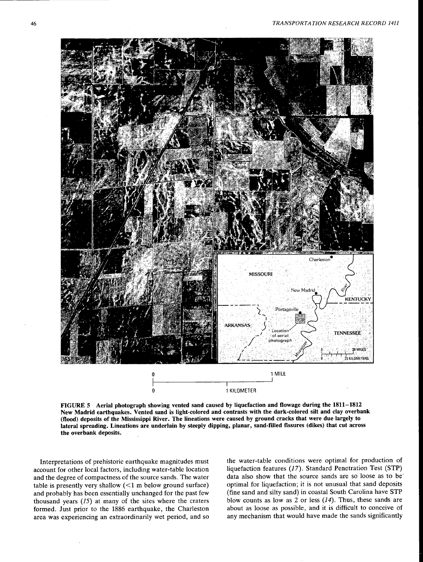

FIGURE 5 Aerial photograph showing vented sand caused by liquefaction and flowage during the 1811-1812 New Madrid earthquakes. Vented sand is light-colored and contrasts with the dark-colored silt and clay overbank (flood) deposits of the Mississippi River. The lineations were caused by ground cracks that were due largely to lateral spreading. Lineations are underlain by steeply dipping, planar, sand-filled fissures (dikes) that cut across the overbank deposits.

Interpretations of prehistoric earthquake magnitudes must account for other local factors, including water-table location and the degree of compactness of the source sands. The water table is presently very shallow  $\leq 1$  m below ground surface) and probably has been essentially unchanged for the past few thousand years  $(15)$  at many of the sites where the craters formed. Just prior to the 1886 earthquake, the Charleston area was experiencing an extraordinarily wet period, and so the water-table conditions were optimal· for production of liquefaction features (17). Standard Penetration Test (STP) data also show that the source sands are so loose as to be<sup>-</sup> optimal for liquefaction; it is not unusual that sand deposits (fine sand and silty sand) in coastal South Carolina have STP blow counts as low as 2 or less  $(14)$ . Thus, these sands are about as loose as possible, and it is difficult to conceive of any mechanism that would have made the sands significantly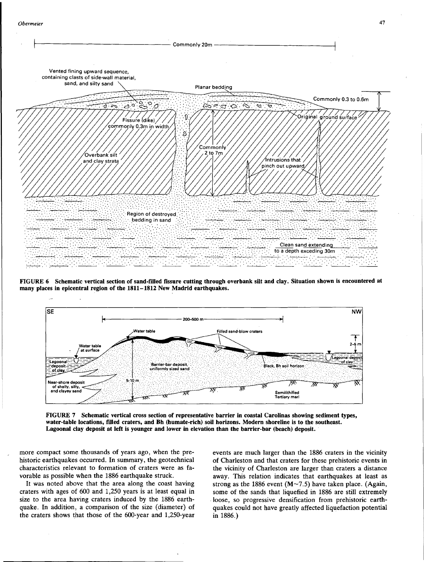

FIGURE 6 Schematic vertical section of sand-filled fissure cutting through overbank silt and clay. Situation shown is encountered at many places in epicentral region of the 1811-1812 New Madrid earthquakes.



FIGURE 7 Schematic vertical cross section of representative barrier in coastal Carolinas showing sediment types, water-table locations, filled craters, and Bh (humate-rich) soil horizons. Modern shoreline is to the southeast. Lagoonal clay deposit at left is younger and lower in elevation than the barrier-bar (beach) deposit.

more compact some thousands of years ago, when the prehistoric earthquakes occurred. In summary, the geotechnical characteristics relevant to formation of craters were as favorable as possible when the 1886 earthquake struck.

It was noted above that the area along the coast having craters with ages of 600 and 1,250 years is at least equal in size to the area having craters induced by the 1886 earthquake. In addition, a comparison of the size (diameter) of the craters shows that those of the 600-year and 1,250-year events are much larger than the 1886 craters in the vicinity of Charleston and that craters for these prehistoric events in the vicinity of Charleston are larger than craters a distance away. This relation indicates that earthquakes at least as strong as the 1886 event  $(M~1.5)$  have taken place. (Again, some of the sands that liquefied in 1886 are still extremely . loose, so progressive densification from prehistoric earthquakes could not have greatly affected liquefaction potential in 1886.)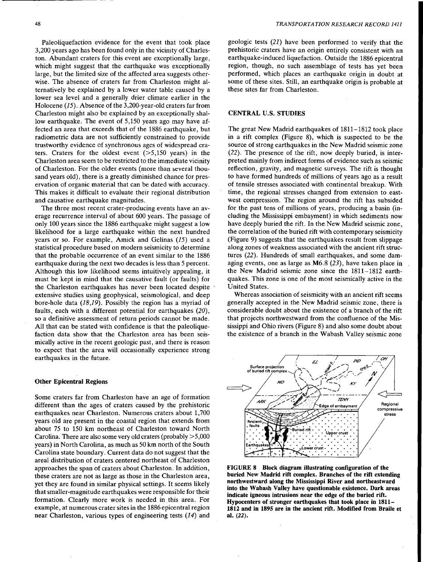Paleoliquefaction evidence for the event that took place 3,200 years ago has been found only in the vicinity of Charleston. Abundant craters for this event are exceptionally large, which might suggest that the earthquake was exceptionally large, but the limited size of the affected area suggests otherwise. The absence of craters far from Charleston might alternatively be explained by a lower water table caused by a lower sea level and a generally drier climate earlier in the Holocene (15). Absence of the 3,200-year-old craters far from Charleston might also be explained by an exceptionally shallow earthquake. The event of 5,150 years ago may have affected an area that exceeds that of the 1886 earthquake, but radiometric data are not sufficiently constrained to provide trustworthy evidence of synchronous ages of widespread craters. Craters for the oldest event  $(>5,150$  years) in the Charleston area seem to be restricted to the immediate vicinity of Charleston. For the older events (more than several thousand years old), there is a greatly diminished chance for preservation of organic material that can be dated with accuracy. This makes it difficult to evaluate their regional distribution and causative earthquake magnitudes.

The three most recent crater-producing events have an average recurrence interval of about 600 years. The passage of only 100 years since the 1886 earthquake might suggest a low likelihood for a large earthquake within the next hundred years or so. For example, Amick and Gelinas (15) used a statistical procedure based on modem seismicity to determine that the probable occurrence of an event similar to the 1886 earthquake during the next two decades is less than 5 percent. Although this low likelihood seems intuitively appealing, it must be kept in mind that the causative fault (or faults) for the Charleston earthquakes has never been located despite extensive studies using geophysical, seismological, and deep bore-hole data *(18,19).* Possibly the region has a myriad of faults, each with a different potential for earthquakes (20), so a definitive assessment of return periods cannot be made. All that can be stated with confidence is that the paleoliquefaction data show that the Charleston area has been seismically active in the recent geologic past, and there is reason to expect that the area will occasionally experience strong earthquakes in the future.

## Other Epicentral Regions

Some craters far from Charleston have an age of formation different than the ages of craters caused by the prehistoric earthquakes near Charleston. Numerous craters about 1,700 years old are present in the coastal region that extends from about 75 to 150 km northeast of Charleston toward North Carolina. There are also some very old craters (probably >5,000 years) in North Carolina, as much as 50 km north of the South Carolina state boundary. Current data do not suggest that the areal distribution of craters centered northeast of Charleston approaches the span of craters about Charleston. In addition, these craters are not as large as those in the Charleston area, yet they are found in similar physical settings. It seems likely that smaller-magnitude earthquakes were responsible for their formation. Clearly more work is needed in this area. For example, at numerous crater sites in the 1886 epicentral region near Charleston, various types of engineering tests *(14)* and

geologic tests (21) have been performed to verify that the prehistoric craters have an origin entirely consistent with an earthquake-induced liquefaction. Outside the 1886 epicentral region, though, no such assemblage of tests has yet been performed, which places an earthquake origin in doubt at some of these sites. Still, an earthquake origin is probable at these sites far from Charleston.

#### CENTRAL U.S. STUDIES

The great New Madrid earthquakes of 1811-1812 took place in a rift complex (Figure 8), which is suspected to be the source of strong earthquakes in the New Madrid seismic zone (22). The presence of the rift, now deeply buried, is interpreted mainly from indirect forms of evidence such as seismic reflection, gravity, and magnetic surveys. The rift is thought to have formed hundreds of millions of years ago as a result of tensile stresses associated with continental breakup. With time, the regional stresses changed from extension to eastwest compression. The region around the rift has subsided for the past tens of millions of years, producing a basin (including the Mississippi embayment) in which sediments now have deeply buried the rift. In the New Madrid seismic zone, the correlation of the buried rift with contemporary seismicity (Figure 9) suggests that the earthquakes result from slippage . along zones of weakness associated with the ancient rift structures (22). Hundreds of small earthquakes, and some damaging events, one as large as M6.8 (23), have taken place in the New Madrid seismic zone since the 1811-1812 earthquakes. This zone is one of the most seismically active in the United States.

Whereas association of seismicity with an ancient rift seems generally accepted in the New Madrid seismic zone, there is considerable doubt about the existence of a branch of the rift that projects northwestward from the confluence of the Mississippi and Ohio rivers (Figure 8) and also some doubt about the existence of a branch in the Wabash Valley seismic zone



FIGURE 8 Block diagram illustrating configuration of the buried New Madrid rift complex. Branches of the rift extending northwestward along the Mississippi River and northeastward into the Wabash Valley have questionable existence. Dark areas indicate igneous intrusions near the edge of the buried rift. Hypocenters of stronger earthquakes that took place in 1811- 1812 and in 1895 are in the ancient rift. Modified from Braile et al. (22).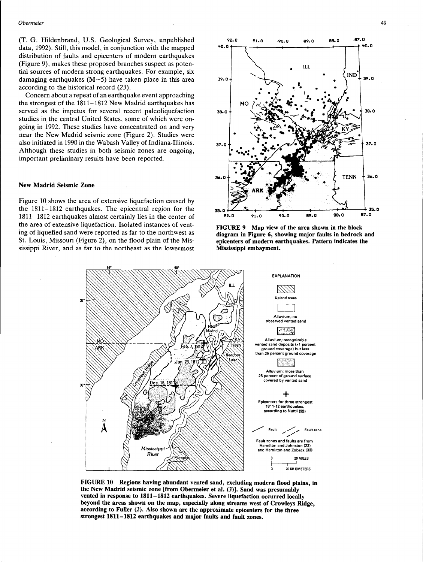(T. G. Hildenbrand, U.S. Geological Survey, unpublished data, 1992). Still, this model, in conjunction with the mapped distribution of faults and epicenters of modern earthquakes (Figure 9), makes these proposed branches suspect as potential sources of modern strong earthquakes. For example, six damaging earthquakes  $(M-5)$  have taken place in this area according to the historical record (23).

Concern about a repeat of an earthquake event approaching the strongest of the 1811-1812 New Madrid earthquakes has served as the impetus for several recent paleoliquefaction studies in the central United States, some of which were ongoing in 1992. These studies have concentrated on and very near the New Madrid seismic zone (Figure 2). Studies were also initiated in 1990 in the Wabash Valley of Indiana-Illinois. Although these studies in both seismic zones are ongoing, important preliminary results have been reported.

#### New Madrid Seismic Zone

Figure 10 shows the area of extensive liquefaction caused by the 1811-1812 earthquakes. The epicentral region for the 1811-1812 earthquakes almost certainly lies in the center of the area of extensive liquefaction. Isolated instances of venting of liquefied sand were reported as far to the northwest as St. Louis, Missouri (Figure 2), on the flood plain of the Mississippi River, and as far to the northeast as the lowermost







FIGURE 10 Regions having abundant vented sand, excluding modern flood plains, in the New Madrid seismic zone [from Obermeier et al. (3)]. Sand was presumably vented in response to 1811-1812 earthquakes. Severe liquefaction occurred locally beyond the areas shown on the map, especially along streams west of Crowleys Ridge, according to Fuller (2). Also shown are the approximate epicenters for the three strongest 1811-1812 earthquakes and major faults and fault zones.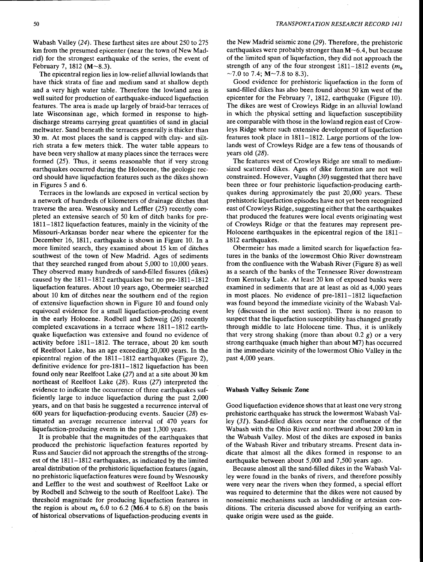Wabash Valley (24). These farthest sites are about 250 to 275 km from the presumed epicenter (near the town of New Madrid) for the strongest earthquake of the series, the event of February 7, 1812 ( $M \sim 8.3$ ).

The epicentral region lies in low-relief alluvial lowlands that have thick strata of fine and medium sand at shallow depth and a very high water table. Therefore the lowland area is well suited for production of earthquake-induced liquefaction features. The area is made up largely of braid-bar terraces of late Wisconsinan age, which formed in response to highdischarge streams carrying great quantities of sand in glacial meltwater. Sand beneath the terraces generally is thicker than 30 m. At most places the sand is capped with clay- and siltrich strata a few meters thick. The water table appears to have been very shallow at many places since the terraces were formed (25). Thus, it seems reasonable that if very strong earthquakes occurred during the Holocene, the geologic record should have liquefaction features such as the dikes shown in Figures 5 and 6.

Terraces in the lowlands are exposed in vertical section by a network of hundreds of kilometers of drainage ditches that traverse the area. Wesnousky and Leffler (25) recently completed an extensive search of 50 km of ditch banks for pre-1811-1812 liquefaction features, mainly in the vicinity of the Missouri-Arkansas border near where the epicenter for the December 16, 1811, earthquake is shown in Figure 10. In a more limited search, they examined about 15 km of ditches southwest of the town of New Madrid. Ages of sediments that they searched ranged from about 5,000 to 10,000 years. They observed many hundreds of sand-filled fissures (dikes) caused by the 1811-1812 earthquakes but no pre-1811-1812 liquefaction features. About 10 years ago, Obermeier searched about 10 km of ditches near the southern end of the region of extensive liquefaction shown in Figure 10 and found only equivocal evidence for a small liquefaction-producing event in the early Holocene. Rodbell and Schweig (26) recently completed excavations in a terrace where 1811-1812 earthquake liquefaction was extensive and found no evidence of activity before 1811-1812. The terrace, about 20 km south of Reelfoot Lake, has an age exceeding 20,000 years. In the epicentral region of the 1811-1812 earthquakes (Figure 2), definitive evidence for pre-1811-1812 liquefaction has been found only near Reelfoot Lake (27) and at a site about 30 km northeast of Reelfoot Lake (28). Russ (27) interpreted the evidence to indicate the occurrence of three earthquakes sufficiently large to induce liquefaction during the past 2,000 years, and on that basis he suggested a recurrence interval of 600 years for liquefaction-producing events. Saucier (28) estimated an average recurrence interval of 470 years for liquefaction-producing events in the past 1,300 years.

It is probable that the magnitudes of the earthquakes that produced the prehistoric liquefaction features reported by Russ and Saucier did not approach the strengths of the strongest of the 1811-1812 earthquakes, as indicated by the limited areal distribution of the prehistoric liquefaction features (again, no prehistoric liquefaction features were found by Wesnousky and Leffler to the west and southwest of Reelfoot Lake or by Rodbell and Schweig to the south of Reelfoot Lake). The threshold magnitude for producing liquefaction features in the region is about  $m_b$  6.0 to 6.2 (M6.4 to 6.8) on the basis of historical observations of liquefaction-producing events in

the New Madrid seismic zone (29). Therefore, the prehistoric earthquakes were probably stronger than  $M \sim 6.4$ , but because of the limited span of liquefaction, they did not approach the strength of any of the four strongest  $1811-1812$  events  $(m_b)$  $\sim$ 7.0 to 7.4; M $\sim$ 7.8 to 8.3).

Good evidence for prehistoric liquefaction in the form of sand-filled dikes has also been found about 50 km west of the epicenter for the February 7, 1812, earthquake (Figure 10). The dikes are west of Crowleys Ridge in an alluvial lowland in which the physical setting and liquefaction susceptibility are comparable with those in the lowland region east of Crowleys Ridge where such extensive development of liquefaction features took place in 1811-1812. Large portions of the lowlands west of Crowleys Ridge are a few tens of thousands of years old (28).

The features west of Crowleys Ridge are small to mediumsized scattered dikes. Ages of dike formation are not well constrained. However, Vaughn  $(30)$  suggested that there have been three or four prehistoric liquefaction-producing earthquakes during approximately the past 20,000 years. These prehistoric liquefaction episodes have not yet been recognized east of Crowleys Ridge, suggesting either that the earthquakes that produced the features were local events originating west of Crowleys Ridge or that the features may represent pre-Holocene earthquakes in the epicentral region of the 1811- 1812 earthquakes.

Obermeier has made a limited search for liquefaction features in the banks of the lowermost Ohio River downstream from the confluence with the Wabash River (Figure 8) as well as a search of the banks of the Tennessee River downstream from Kentucky Lake. At least 20 km of exposed banks were examined in sediments that are at least as old as 4,000 years in most places. No evidence of pre-1811-1812 liquefaction was found beyond the immediate vicinity of the Wabash Valley (discussed in the next section). There is no reason to suspect that the liquefaction susceptibility has changed greatly through middle to late Holocene time. Thus, it is unlikely that very strong shaking (more than about  $0.2$  g) or a very strong earthquake (much higher than about M7) has occurred in the immediate vicinity of the lowermost Ohio Valley in the past 4,000 years.

#### Wabash Valley Seismic Zone

Good liquefaction evidence shows that at least one very strong prehistoric earthquake has struck the lowermost Wabash Valley (31). Sand-filled dikes occur near the confluence of the Wabash with the Ohio River and northward about 200 km in the Wabash Valley. Most of the dikes are exposed in banks of the Wabash River and tributary streams. Present data indicate that almost all the dikes formed in response to an earthquake between about 5,000 and 7,500 years ago.

Because almost all the sand-filled dikes in the Wabash Valley were found in the banks of rivers, and therefore possibly were very near the rivers when they formed, a special effort was required to determine that the dikes were not caused by nonseismic mechanisms such as landsliding or artesian conditions. The criteria discussed above for verifying an earthquake origin were used as the guide.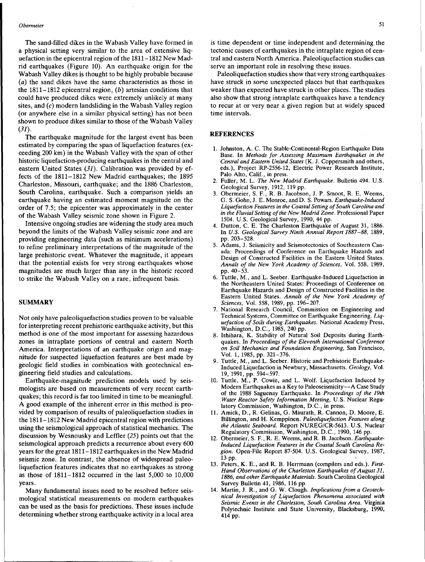The sand-filled dikes in the Wabash Valley have formed in a physical setting very similar to the area of extensive liquefaction in the epicentral region of the 1811-1812 New Madrid earthquakes (Figure 10). An earthquake origin for the Wabash Valley dikes is thought to be highly probable because (a) the sand dikes have the same characteristics as those in the  $1811-1812$  epicentral region, (b) artesian conditions that could have produced dikes were extremely unlikely at many sites, and (c) modem landsliding in the Wabash Valley region (or anywhere else in a similar physical setting) has not been shown to produce dikes similar to those of the Wabash Valley  $(31).$ 

The earthquake magnitude for the largest event has been estimated by comparing the span of liquefaction features (exceeding 200 km) in the Wabash Valley with the span of other historic liquefaction-producing earthquakes in the central and eastern United States (31). Calibration was provided by effects of the 1811-1812 New Madrid earthquakes; the 1895 Charleston, Missouri, earthquake; and the 1886 Charleston, South Carolina, earthquake. Such a comparison yields an earthquake having an estimated moment magnitude on the order of 7 .5; the epicenter was approximately in the center of the Wabash Valley seismic zone shown in Figure 2.

Intensive ongoing studies are widening the study area much beyond the limits of the Wabash Valley seismic zone and are providing engineering data (such as minimum accelerations) to refine preliminary interpretations of the magnitude of the large prehistoric event. Whatever the magnitude, it appears that the potential exists for very strong earthquakes whose magnitudes are much larger than any in the historic record to strike the Wabash Valley on a rare, infrequent basis.

#### SUMMARY

Not only have paleoliquefaction studies proven to be valuable for interpreting recent prehistoric earthquake activity, but this method is one of the most important for assessing hazardous zones in intraplate portions of central and eastern North America. Interpretations of an earthquake origin and magnitude for suspected liquefaction features are best made by geologic field studies in combination with geotechnical engineering field studies and calculations.

Earthquake-magnitude prediction models used by seismologists are based on measurements of very recent earthquakes; this record is far too limited in time to be meaningful. A good example of the inherent error in this method is provided by comparison of results of paleoliquefaction studies in the 1811-1812 New Madrid epicentral region with predictions using the seismological approach of statistical mechanics. The discussion by Wesnousky and Leffler (25) points out that the seismological approach predicts a recurrence about every 600 years for the great 1811-1812 earthquakes in the New Madrid seismic zone. In contrast, the absence of widespread paleoliquefaction features indicates that no earthquakes as strong as those of 1811-1812 occurred in the last 5,000 to 10,000 years.

Many fundamental issues need to be resolved before seismological statistical measurements on modem earthquakes can be used as the basis for predictions. These issues include determining whether strong earthquake activity in a local area

is time dependent or time independent and determining the tectonic causes of earthquakes in the intraplate region of central and eastern North America. Paleoliquefaction studies can serve an important role in resolving these issues.

Paleoliquefaction studies show that very strong earthquakes have struck in some unexpected places but that earthquakes weaker than expected have struck in other places. The studies also show that strong intraplate earthquakes have a tendency to recur at or very near a given region but at widely spaced time intervals.

#### REFERENCES

- 1. Johnston, A. C. The Stable-Continental-Region Earthquake Data Base. In *Methods for Assessing Maximum Earthquakes in the Central and Eastern United States* (K. J. Coppersmith and others, eds.), Project RP-2556-12, Electric Power Research Institute, Palo Alto, Calif., in press.
- 2. Fuller, M. L. *The New Madrid Earthquake.* Bulletin 494. U.S. Geological Survey, 1912, 119 pp.
- Obermeier, S. F., R. B. Jacobson, J. P. Smoot, R. E. Weems, G. S. Gohn, J.E. Monroe, and D. S. Powars. *Earthquake-Induced Liquefaction Features in the Coastal Setting of South Carolina and in the Fluvial Setting of the New Madrid Zone.* Professional Paper 1504. U.S. Geological Survey, 1990, 44 pp.
- 4. Dutton, C. E. The Charleston Earthquake of August 31, 1886. In *U.S. Geological Survey Ninth Annual Report 1887-88,* 1889, pp. 203-528.
- 5. Adams, J. Seismicity and Seismotectonics of Southeastern Canada: Proceedings of Conference on Earthquake Hazards and Design of Constructed Facilities in the Eastern United States. *Annals of the New York Academy of Sciences,* Vol. 558, 1989, pp. 40-53.
- 6. Tuttle, M., and L. Seeber. Earthquake-Induced Liquefaction in the Northeastern United States: Proceedings of Conference on Earthquake Hazards and Design of Constructed Facilities in the Eastern United States. *Annals of the New York Academy of Sciences,* Vol. 558, 1989, pp. 196-207.
- 7. National Research Council, Commission on Engineering and Technical Systems, Committee on Earthquake Engineering. *Liquefaction of Soils during Earthquakes.* National Academy Press, Washington, D.C., 1985, 240 pp.
- 8. Ishihara, K. Stability of Natural Soil Deposits during Earthquakes. In *Proceedings of the Eleventh International Conference on Soil Mechanics and Foundation Engineering,* San Francisco, Vol. 1, 1985, pp. 321-376.
- 9. Tuttle, M., and L. Seeber. Historic and Prehistoric Earthquake-Induced Liquefaction in Newbury, Massachusetts. *Geology,* Vol. 19, 1991, pp. 594-597.
- 10. Tuttle, M., P. Cowie, and L. Wolf. Liquefaction Induced by Modern Earthquakes as a Key to Paleoseismicity-A Case Study of the 1988 Saguenay Earthquake. In *Proceedings of the 19th Water Reactor Safety Information Meeting,* U.S. Nuclear Regulatory Commission, Washington, D.C., in press.
- 11. Amick, D., R. Gelinas, G. Maurath, R. Cannon, D. Moore, E. Billington, and H. Kemppinen. *Paleoliquefaction Features along the Atlantic Seaboard.* Report NUREG/CR-5613. U.S. Nuclear Regulatory Commission, Washington, D.C., 1990, 146 pp.
- 12. Obermeier, S. F., R. E. Weems, and R. B. Jacobson. *Earthquake-Induced Liquefaction Features in the Coastal South Carolina Region.* Open-File Report 87-504. U.S. Geological Survey, 1987, 13 pp.
- 13. Peters, K. E., and R. B. Herrmann (compilers and eds.). *First-Hand Observations of the Charleston Earthquakes of August 31, 1886, and other Earthquake Materials.* South Carolina Geological Survey Bulletin 41, 1986, 116 pp.
- 14. Martin, J. R., and G. W. Clough. *Implications from a Geotechnical Investigation of Liquefaction Phenomena associated with Seismic Events in the Charleston, South Carolina Area.* Virginia Polytechnic Institute and State University, Blacksburg, 1990, 414 pp.